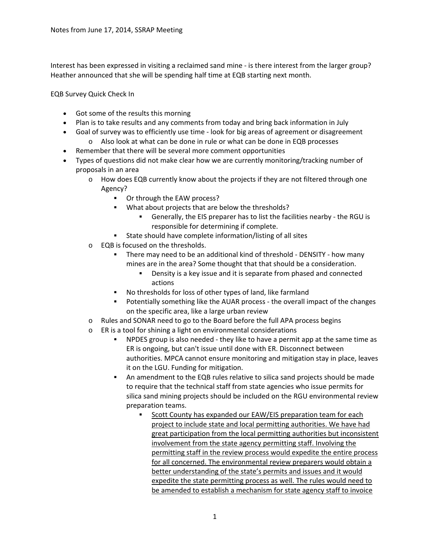Interest has been expressed in visiting a reclaimed sand mine ‐ is there interest from the larger group? Heather announced that she will be spending half time at EQB starting next month.

EQB Survey Quick Check In

- Got some of the results this morning
- Plan is to take results and any comments from today and bring back information in July
- Goal of survey was to efficiently use time look for big areas of agreement or disagreement
	- o Also look at what can be done in rule or what can be done in EQB processes
- Remember that there will be several more comment opportunities
- Types of questions did not make clear how we are currently monitoring/tracking number of proposals in an area
	- o How does EQB currently know about the projects if they are not filtered through one Agency?
		- Or through the EAW process?
		- What about projects that are below the thresholds?
			- Generally, the EIS preparer has to list the facilities nearby ‐ the RGU is responsible for determining if complete.
		- State should have complete information/listing of all sites
	- o EQB is focused on the thresholds.
		- There may need to be an additional kind of threshold ‐ DENSITY ‐ how many mines are in the area? Some thought that that should be a consideration.
			- Density is a key issue and it is separate from phased and connected actions
		- No thresholds for loss of other types of land, like farmland
		- Potentially something like the AUAR process ‐ the overall impact of the changes on the specific area, like a large urban review
	- o Rules and SONAR need to go to the Board before the full APA process begins
	- o ER is a tool for shining a light on environmental considerations
		- NPDES group is also needed ‐ they like to have a permit app at the same time as ER is ongoing, but can't issue until done with ER. Disconnect between authorities. MPCA cannot ensure monitoring and mitigation stay in place, leaves it on the LGU. Funding for mitigation.
		- An amendment to the EQB rules relative to silica sand projects should be made to require that the technical staff from state agencies who issue permits for silica sand mining projects should be included on the RGU environmental review preparation teams.
			- Scott County has expanded our EAW/EIS preparation team for each project to include state and local permitting authorities. We have had great participation from the local permitting authorities but inconsistent involvement from the state agency permitting staff. Involving the permitting staff in the review process would expedite the entire process for all concerned. The environmental review preparers would obtain a better understanding of the state's permits and issues and it would expedite the state permitting process as well. The rules would need to be amended to establish a mechanism for state agency staff to invoice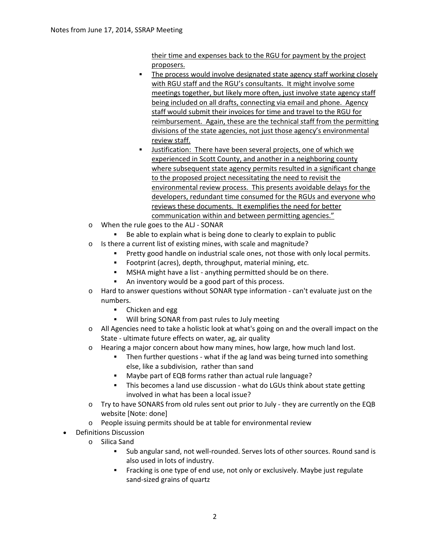their time and expenses back to the RGU for payment by the project proposers.

- **The process would involve designated state agency staff working closely** with RGU staff and the RGU's consultants. It might involve some meetings together, but likely more often, just involve state agency staff being included on all drafts, connecting via email and phone. Agency staff would submit their invoices for time and travel to the RGU for reimbursement. Again, these are the technical staff from the permitting divisions of the state agencies, not just those agency's environmental review staff.
- Justification: There have been several projects, one of which we experienced in Scott County, and another in a neighboring county where subsequent state agency permits resulted in a significant change to the proposed project necessitating the need to revisit the environmental review process. This presents avoidable delays for the developers, redundant time consumed for the RGUs and everyone who reviews these documents. It exemplifies the need for better communication within and between permitting agencies."
- o When the rule goes to the ALJ ‐ SONAR
	- Be able to explain what is being done to clearly to explain to public
- o Is there a current list of existing mines, with scale and magnitude?
	- **Pretty good handle on industrial scale ones, not those with only local permits.**
	- Footprint (acres), depth, throughput, material mining, etc.
	- MSHA might have a list anything permitted should be on there.
	- An inventory would be a good part of this process.
- o Hard to answer questions without SONAR type information ‐ can't evaluate just on the numbers.
	- Chicken and egg
	- **Will bring SONAR from past rules to July meeting**
- $\circ$  All Agencies need to take a holistic look at what's going on and the overall impact on the State - ultimate future effects on water, ag, air quality
- o Hearing a major concern about how many mines, how large, how much land lost.
	- Then further questions what if the ag land was being turned into something else, like a subdivision, rather than sand
	- Maybe part of EQB forms rather than actual rule language?
	- This becomes a land use discussion ‐ what do LGUs think about state getting involved in what has been a local issue?
- o Try to have SONARS from old rules sent out prior to July ‐ they are currently on the EQB website [Note: done]
- o People issuing permits should be at table for environmental review
- Definitions Discussion
	- o Silica Sand
		- Sub angular sand, not well-rounded. Serves lots of other sources. Round sand is also used in lots of industry.
		- Fracking is one type of end use, not only or exclusively. Maybe just regulate sand‐sized grains of quartz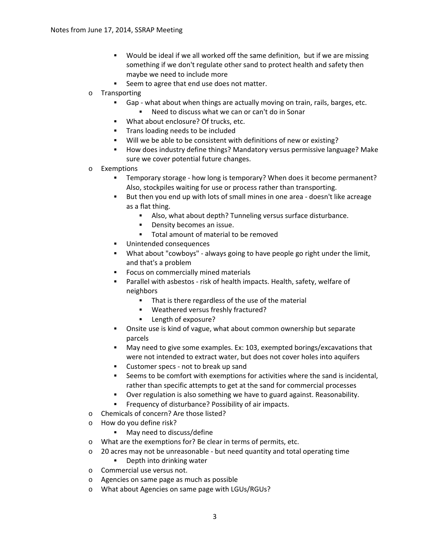- Would be ideal if we all worked off the same definition, but if we are missing something if we don't regulate other sand to protect health and safety then maybe we need to include more
- Seem to agree that end use does not matter.
- o Transporting
	- Gap ‐ what about when things are actually moving on train, rails, barges, etc.
		- Need to discuss what we can or can't do in Sonar
	- **What about enclosure? Of trucks, etc.**
	- **Trans loading needs to be included**
	- Will we be able to be consistent with definitions of new or existing?
	- How does industry define things? Mandatory versus permissive language? Make sure we cover potential future changes.
- o Exemptions
	- Temporary storage how long is temporary? When does it become permanent? Also, stockpiles waiting for use or process rather than transporting.
	- But then you end up with lots of small mines in one area doesn't like acreage as a flat thing.
		- Also, what about depth? Tunneling versus surface disturbance.
		- **Density becomes an issue.**
		- **Total amount of material to be removed**
	- Unintended consequences
	- What about "cowboys" ‐ always going to have people go right under the limit, and that's a problem
	- Focus on commercially mined materials
	- Parallel with asbestos ‐ risk of health impacts. Health, safety, welfare of neighbors
		- That is there regardless of the use of the material
		- Weathered versus freshly fractured?
		- **Length of exposure?**
	- Onsite use is kind of vague, what about common ownership but separate parcels
	- May need to give some examples. Ex: 103, exempted borings/excavations that were not intended to extract water, but does not cover holes into aquifers
	- Customer specs not to break up sand
	- Seems to be comfort with exemptions for activities where the sand is incidental, rather than specific attempts to get at the sand for commercial processes
	- Over regulation is also something we have to guard against. Reasonability.
	- Frequency of disturbance? Possibility of air impacts.
- o Chemicals of concern? Are those listed?
- o How do you define risk?
	- **May need to discuss/define**
- o What are the exemptions for? Be clear in terms of permits, etc.
- o 20 acres may not be unreasonable ‐ but need quantity and total operating time
	- **•** Depth into drinking water
- o Commercial use versus not.
- o Agencies on same page as much as possible
- o What about Agencies on same page with LGUs/RGUs?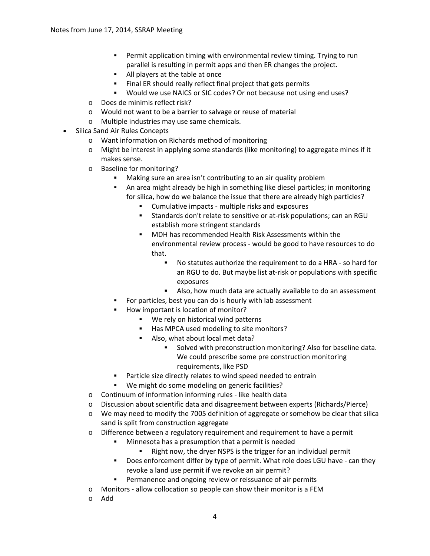- Permit application timing with environmental review timing. Trying to run parallel is resulting in permit apps and then ER changes the project.
- All players at the table at once
- Final ER should really reflect final project that gets permits
- Would we use NAICS or SIC codes? Or not because not using end uses?
- o Does de minimis reflect risk?
- o Would not want to be a barrier to salvage or reuse of material
- o Multiple industries may use same chemicals.
- Silica Sand Air Rules Concepts
	- o Want information on Richards method of monitoring
	- o Might be interest in applying some standards (like monitoring) to aggregate mines if it makes sense.
	- o Baseline for monitoring?
		- Making sure an area isn't contributing to an air quality problem
		- An area might already be high in something like diesel particles; in monitoring for silica, how do we balance the issue that there are already high particles?
			- Cumulative impacts multiple risks and exposures
			- Standards don't relate to sensitive or at-risk populations; can an RGU establish more stringent standards
			- MDH has recommended Health Risk Assessments within the environmental review process ‐ would be good to have resources to do that.
				- No statutes authorize the requirement to do a HRA so hard for an RGU to do. But maybe list at-risk or populations with specific exposures
				- Also, how much data are actually available to do an assessment
		- For particles, best you can do is hourly with lab assessment
		- How important is location of monitor?
			- We rely on historical wind patterns
			- Has MPCA used modeling to site monitors?
			- Also, what about local met data?
				- Solved with preconstruction monitoring? Also for baseline data. We could prescribe some pre construction monitoring requirements, like PSD
		- Particle size directly relates to wind speed needed to entrain
		- We might do some modeling on generic facilities?
	- o Continuum of information informing rules ‐ like health data
	- o Discussion about scientific data and disagreement between experts (Richards/Pierce)
	- o We may need to modify the 7005 definition of aggregate or somehow be clear that silica sand is split from construction aggregate
	- o Difference between a regulatory requirement and requirement to have a permit
		- Minnesota has a presumption that a permit is needed
			- Right now, the dryer NSPS is the trigger for an individual permit
		- Does enforcement differ by type of permit. What role does LGU have can they revoke a land use permit if we revoke an air permit?
		- **Permanence and ongoing review or reissuance of air permits**
	- o Monitors ‐ allow collocation so people can show their monitor is a FEM
	- o Add